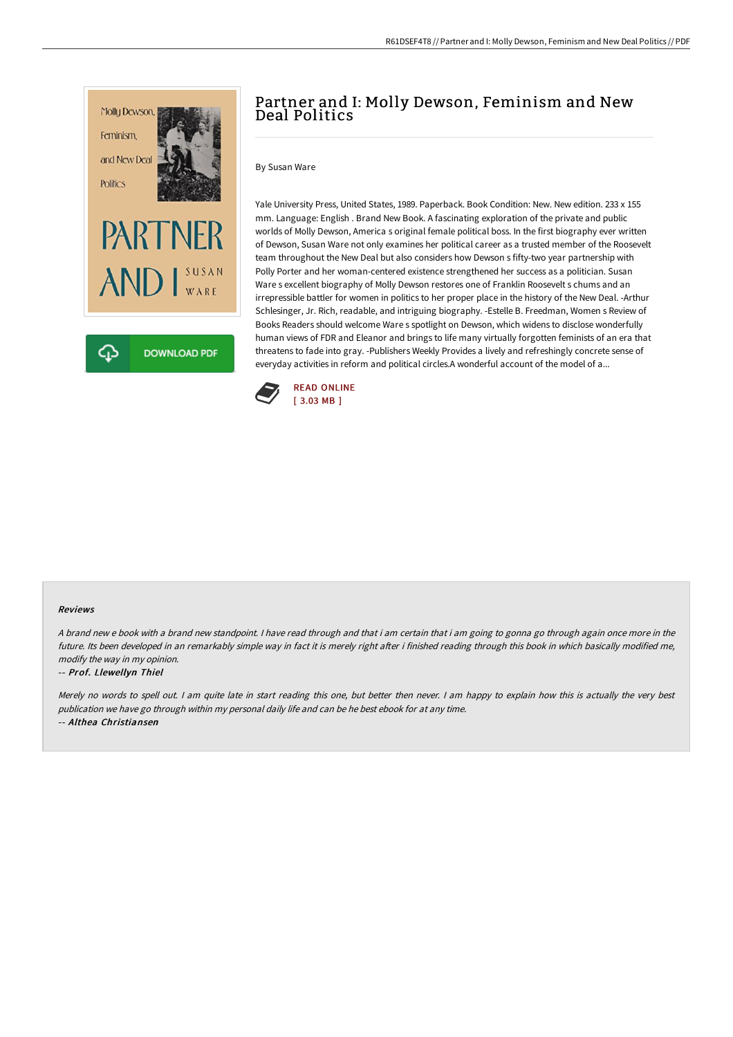

# Partner and I: Molly Dewson, Feminism and New Deal Politics

By Susan Ware

Yale University Press, United States, 1989. Paperback. Book Condition: New. New edition. 233 x 155 mm. Language: English . Brand New Book. A fascinating exploration of the private and public worlds of Molly Dewson, America s original female political boss. In the first biography ever written of Dewson, Susan Ware not only examines her political career as a trusted member of the Roosevelt team throughout the New Deal but also considers how Dewson s fifty-two year partnership with Polly Porter and her woman-centered existence strengthened her success as a politician. Susan Ware s excellent biography of Molly Dewson restores one of Franklin Roosevelt s chums and an irrepressible battler for women in politics to her proper place in the history of the New Deal. -Arthur Schlesinger, Jr. Rich, readable, and intriguing biography. -Estelle B. Freedman, Women s Review of Books Readers should welcome Ware s spotlight on Dewson, which widens to disclose wonderfully human views of FDR and Eleanor and brings to life many virtually forgotten feminists of an era that threatens to fade into gray. -Publishers Weekly Provides a lively and refreshingly concrete sense of everyday activities in reform and political circles.A wonderful account of the model of a...



### Reviews

A brand new <sup>e</sup> book with <sup>a</sup> brand new standpoint. I have read through and that i am certain that i am going to gonna go through again once more in the future. Its been developed in an remarkably simple way in fact it is merely right after i finished reading through this book in which basically modified me, modify the way in my opinion.

#### -- Prof. Llewellyn Thiel

Merely no words to spell out. I am quite late in start reading this one, but better then never. I am happy to explain how this is actually the very best publication we have go through within my personal daily life and can be he best ebook for at any time. -- Althea Christiansen